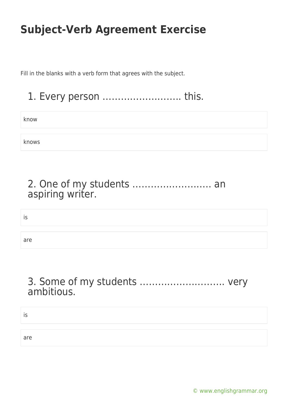Fill in the blanks with a verb form that agrees with the subject.

1. Every person …………………….. this.

know

knows

#### 2. One of my students …………………….. an aspiring writer.

is

are

#### 3. Some of my students ………………………. very ambitious.

| ت ا |  |  |
|-----|--|--|
|     |  |  |
| are |  |  |

[© www.englishgrammar.org](https://www.englishgrammar.org/)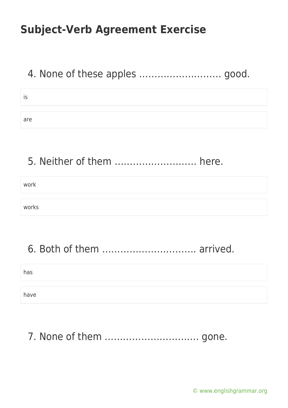### 4. None of these apples ……………………… good.

| ю   |  |  |
|-----|--|--|
|     |  |  |
| are |  |  |

### 5. Neither of them ……………………… here.

work

works

### 6. Both of them …………………………. arrived.

has

have

# 7. None of them …………………………. gone.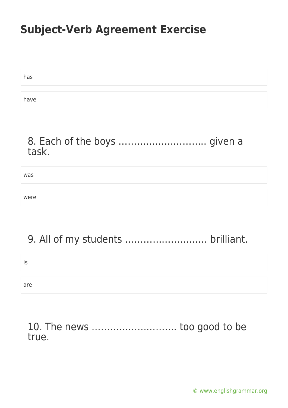| has  |  |
|------|--|
|      |  |
| have |  |

#### 8. Each of the boys ................................... given a task.

was were

# 9. All of my students ……………………… brilliant.

is

are

### 10. The news ………………………. too good to be true.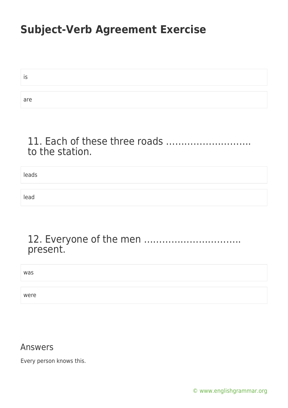is are

#### 11. Each of these three roads ………………………. to the station.

leads lead

#### 12. Everyone of the men ………………………….. present.

was

were

#### Answers

Every person knows this.

[© www.englishgrammar.org](https://www.englishgrammar.org/)